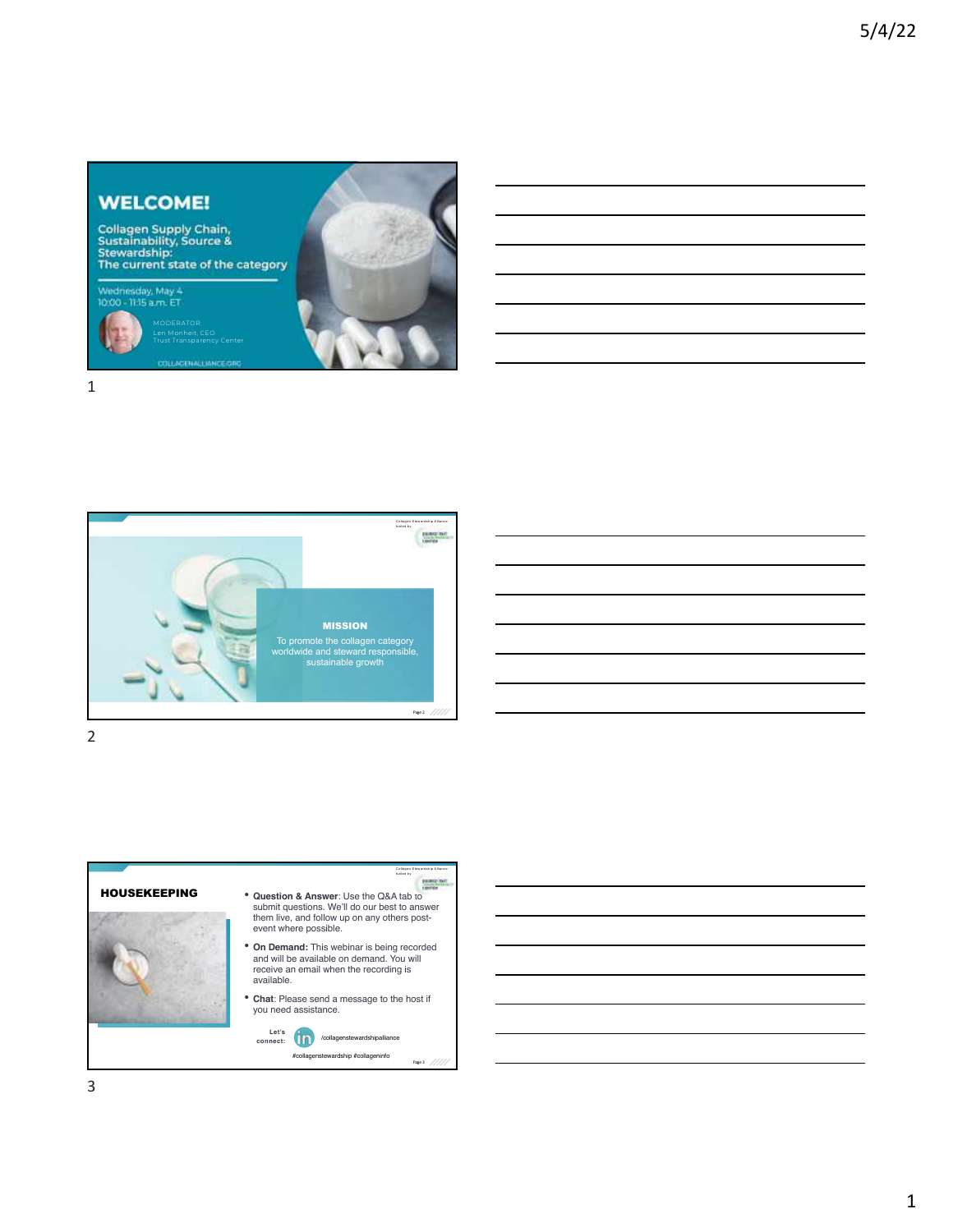## **WELCOME!**

Collagen Supply Chain,<br>Sustainability, Source &<br>Stewardship:<br>The current state of the category

MODERATOR: Len Monheit, CEO Trust Transparency Center

Wednesday, May 4<br>10:00 - 11:15 a.m. ET







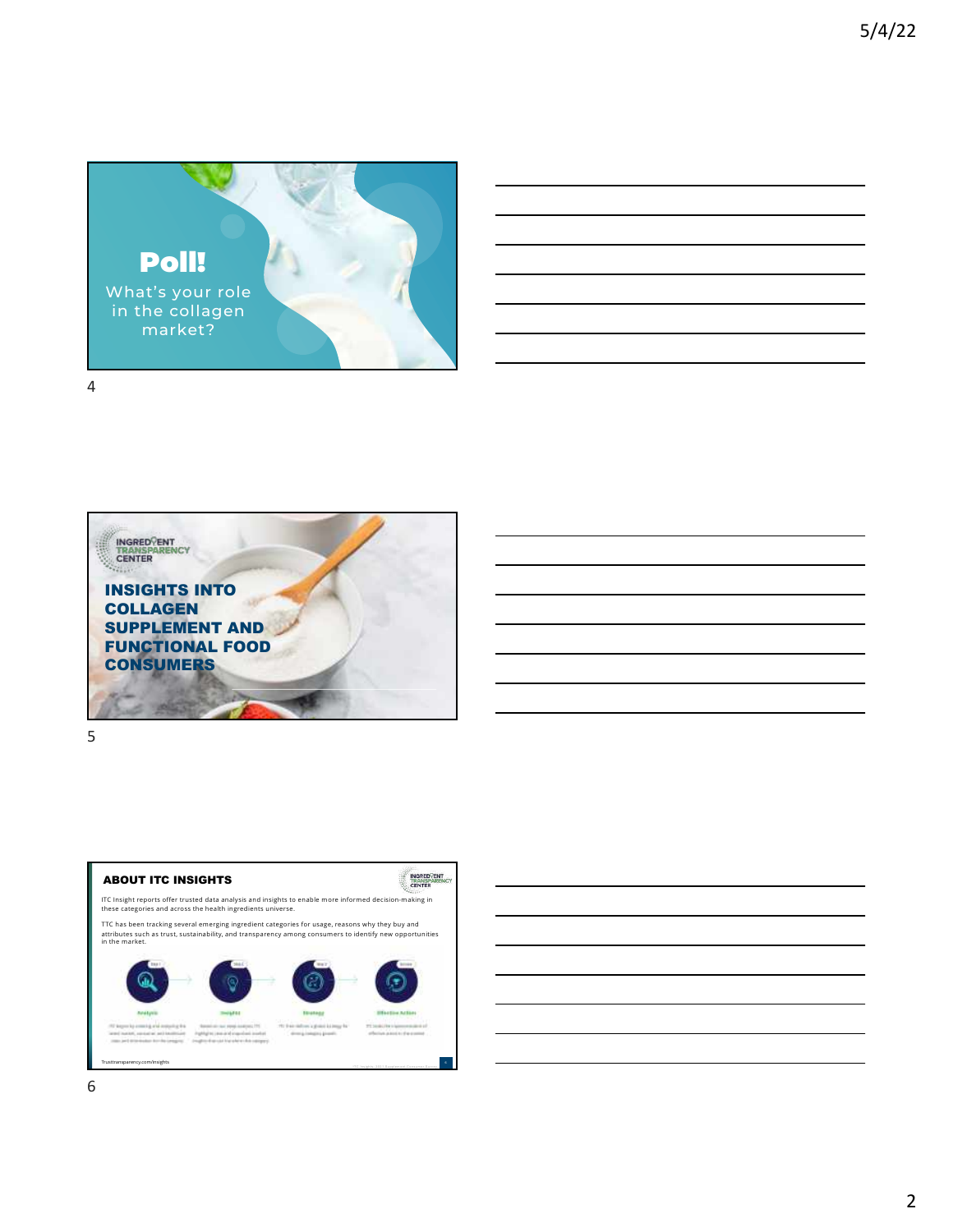





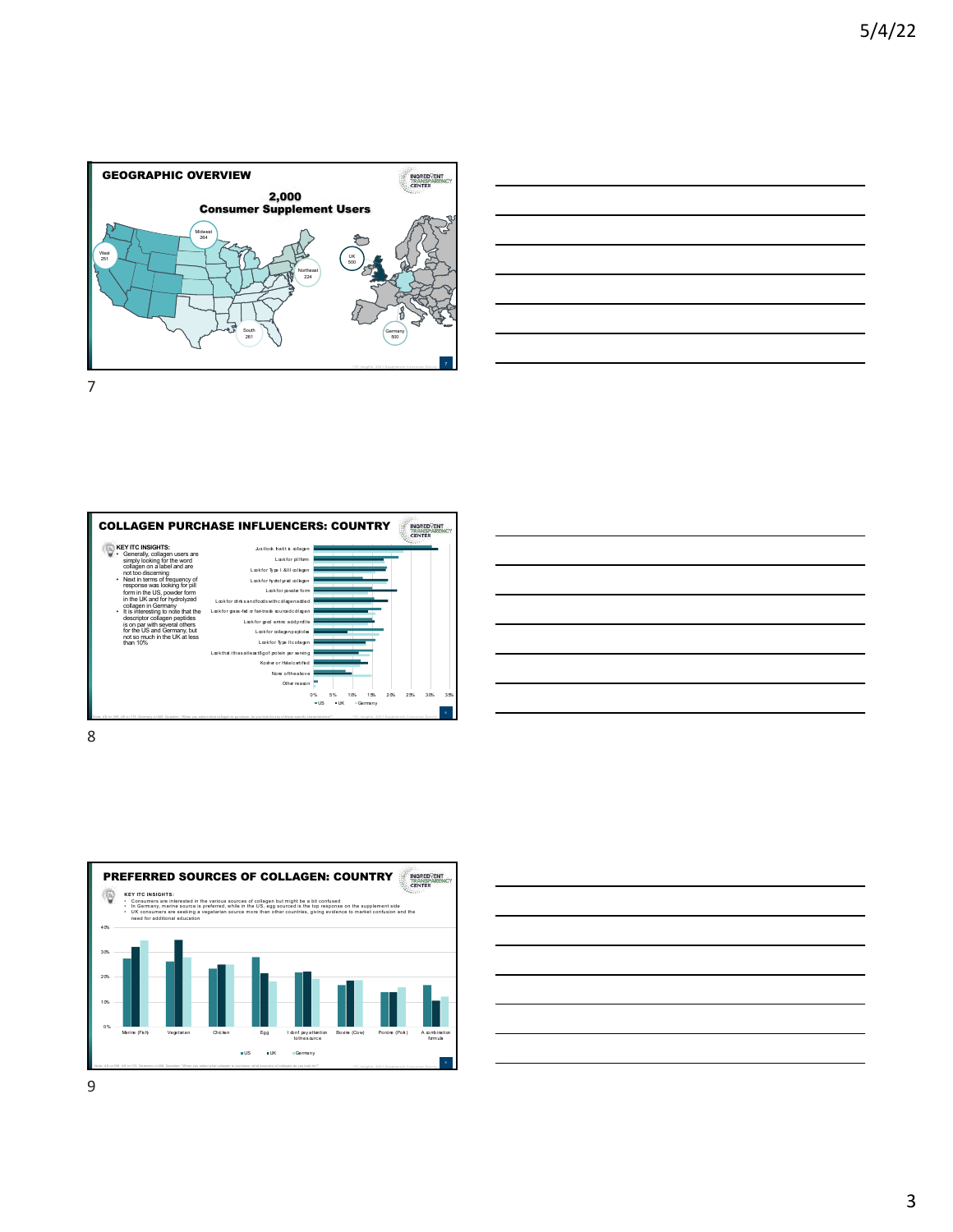









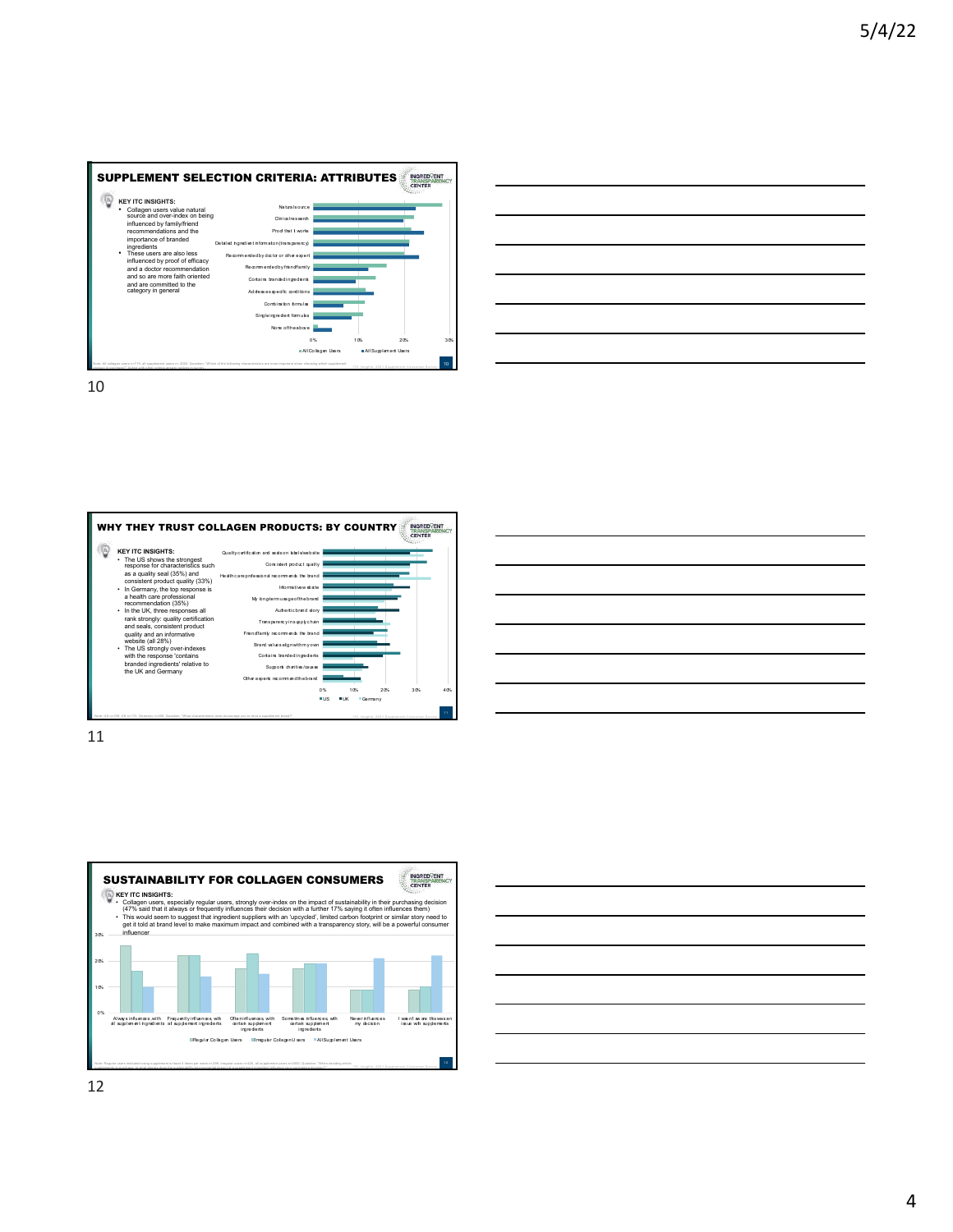







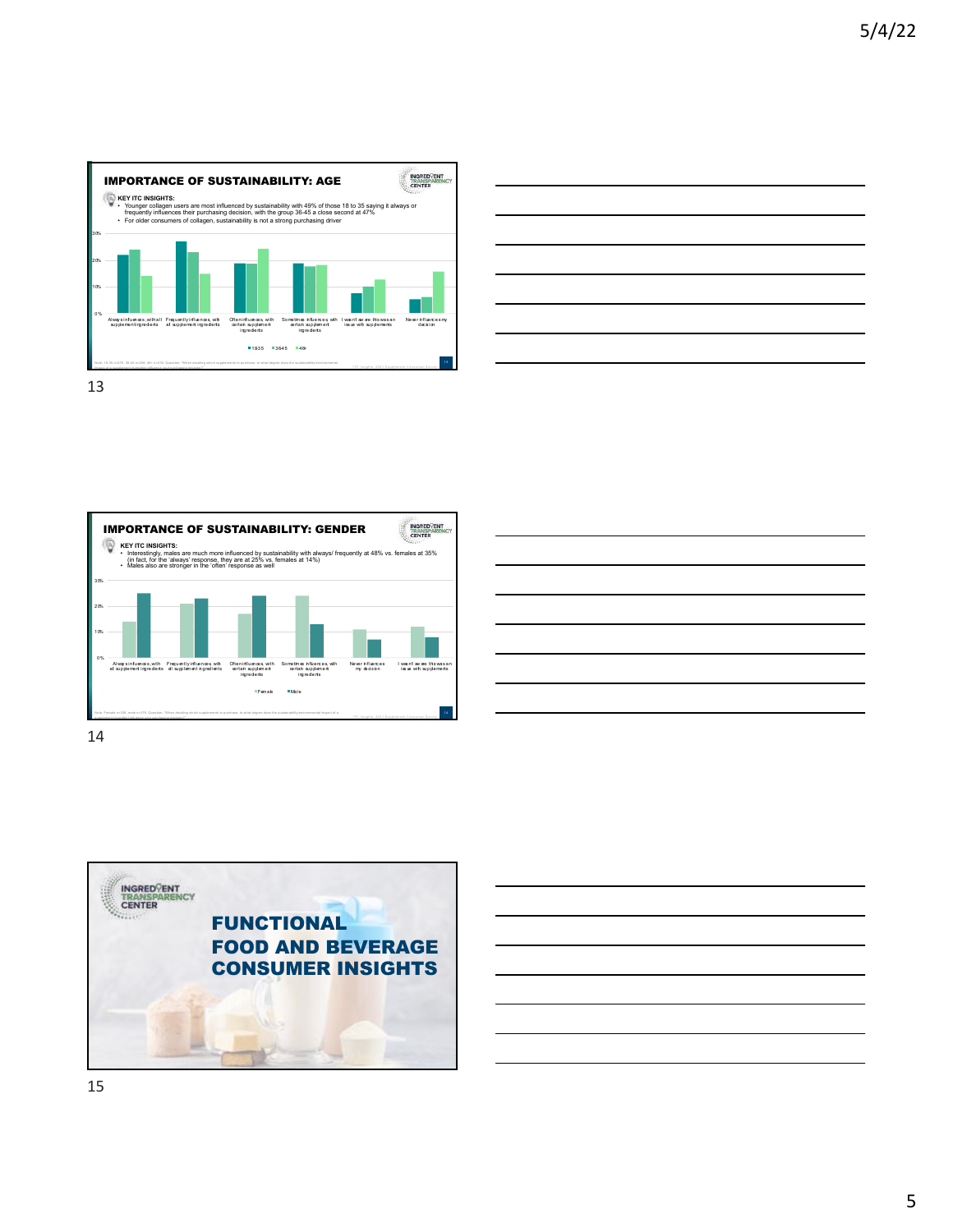



INGRED<sup>C</sup>ENT<br>TRANSPARENCY<br>CENTER IMPORTANCE OF SUSTAINABILITY: GENDER KEY ITC INSIGHTS:<br>• Interestingly, males are much more influenced by sustainability with always/ frequently at 48% vs. females at 35%<br>• [in fact, for the 'always' response, they are at 25% vs. females at 14%)<br>• Males also 30% 20% 10% 0% Alwaysinfuences,with Frequentlyinfluences,with Ofteninfluences,with<br>alsupplementingredients allsupplementingredients certain supplement<br>ingredients Sometim es influenc es, with certain supplem ent ingredients Never influenc es my decis ion I was n't aw are this was an iss ue with supplements Fem ale Male Note: Female n=338, male n=378. Question: "When deciding which supplements to purchase, to what degree does the sustainability/environmental impact of a supplement ingredient influence your purchasing decision?"



14



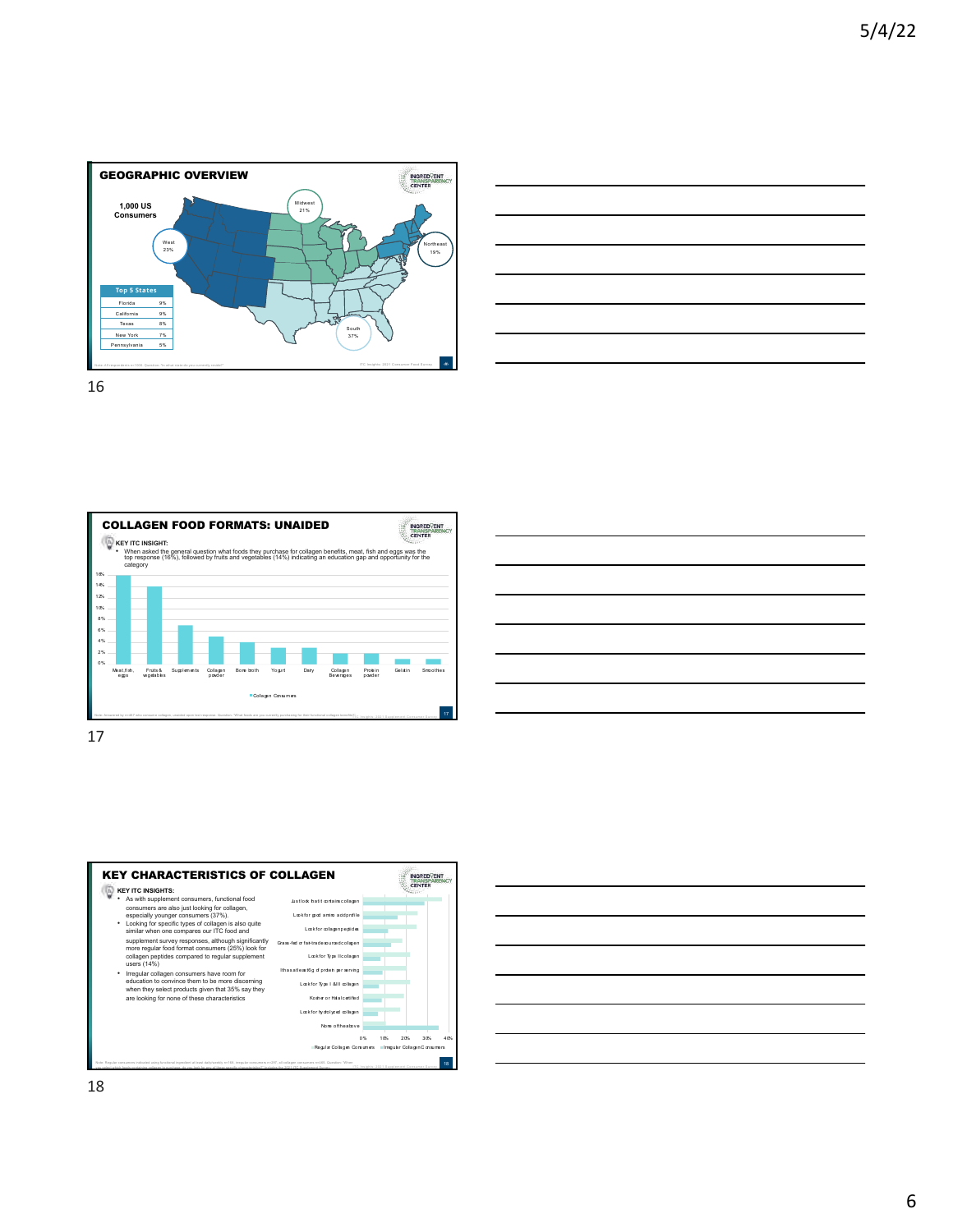











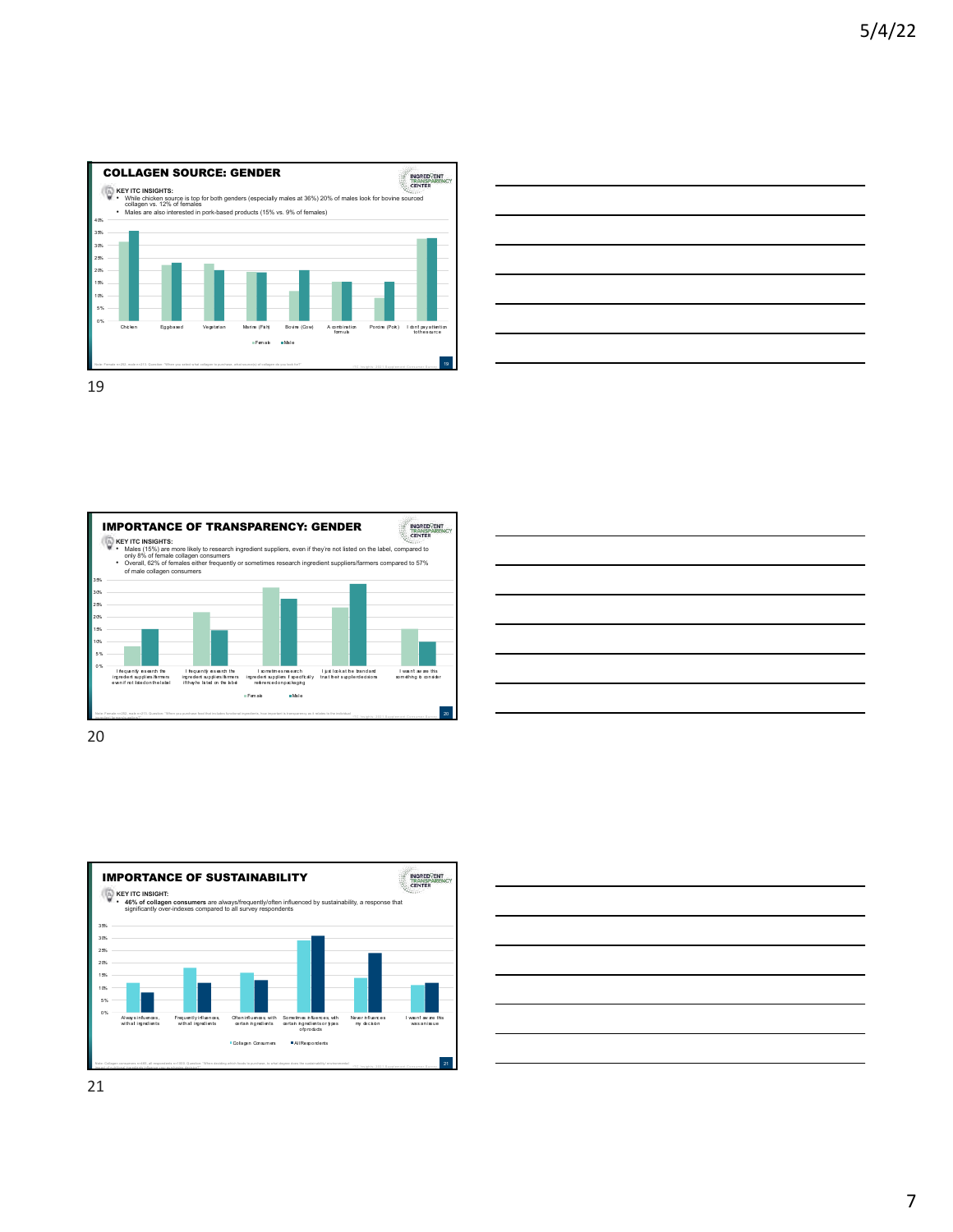











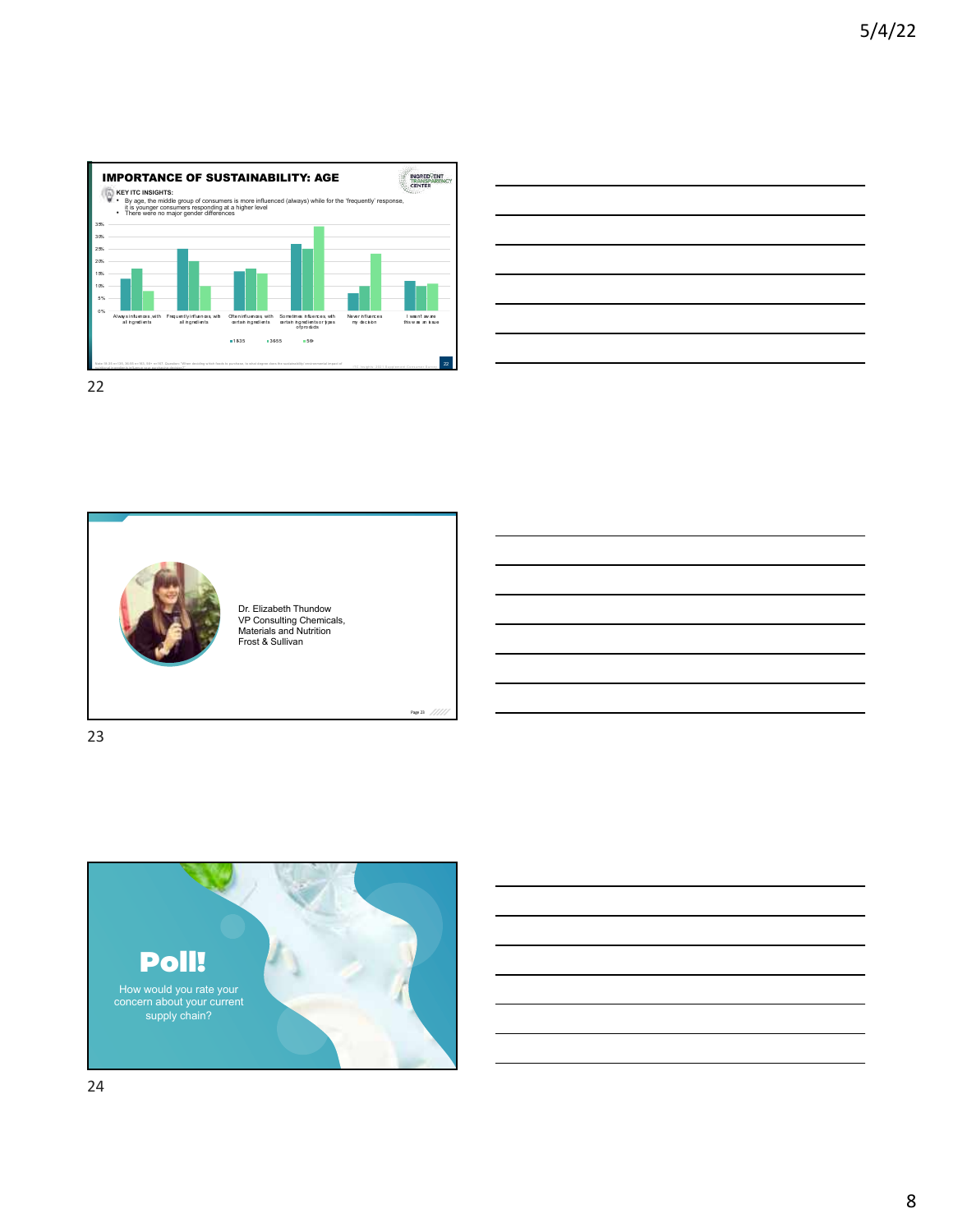





23